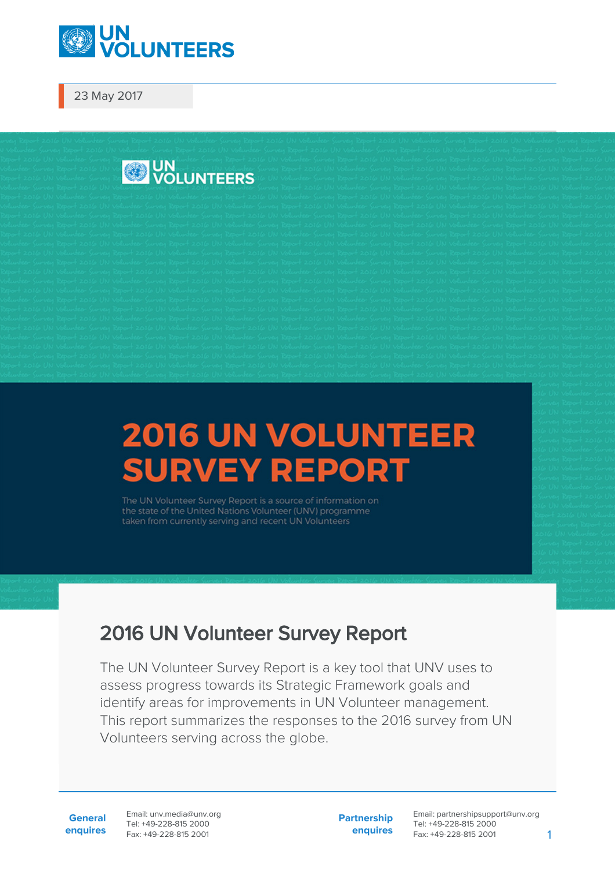

23 May 2017



## **2016 UN VOLUNTEER SURVEY REPORT**

the state of the United Nations Volunteer (UNV) programme taken from currently serving and recent UN Volunteers

## 2016 UN Volunteer Survey Report

The UN Volunteer Survey Report is a key tool that UNV uses to assess progress towards its Strategic Framework goals and identify areas for improvements in UN Volunteer management. This report summarizes the responses to the 2016 survey from UN Volunteers serving across the globe.

**General enquires** Email: unv.media@unv.org Tel: +49-228-815 2000 Fax: +49-228-815 2001

**Partnership enquires** Email: partnershipsupport@unv.org Tel: +49-228-815 2000 Fax: +49-228-815 2001 1